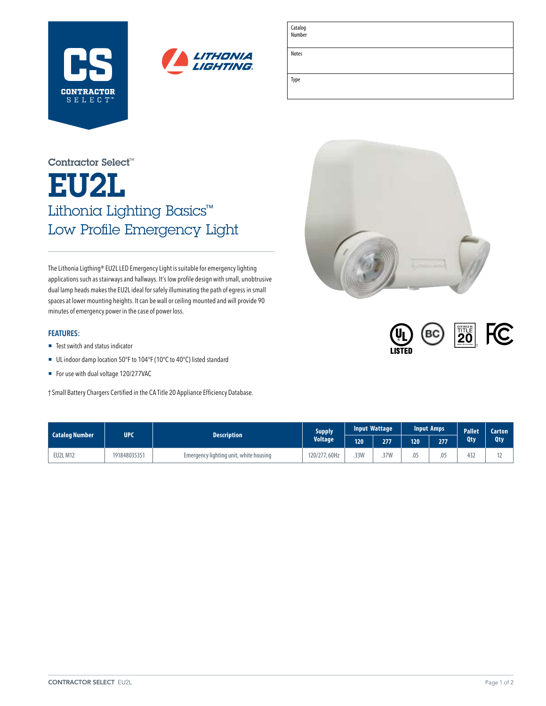



| Catalog<br>Number |  |  |
|-------------------|--|--|
| Notes             |  |  |
|                   |  |  |
| Type              |  |  |
|                   |  |  |

# EU2L Lithonia Lighting Basics™ Low Profile Emergency Light Contractor Select™

The Lithonia Ligthing® EU2L LED Emergency Light is suitable for emergency lighting applications such as stairways and hallways. It's low profile design with small, unobtrusive dual lamp heads makes the EU2L ideal for safely illuminating the path of egress in small spaces at lower mounting heights. It can be wall or ceiling mounted and will provide 90 minutes of emergency power in the case of power loss.

### **FEATURES:**

- Test switch and status indicator
- UL indoor damp location 50°F to 104°F (10°C to 40°C) listed standard
- For use with dual voltage 120/277VAC

† Small Battery Chargers Certified in the CA Title 20 Appliance Efficiency Database.





| <b>Catalog Number</b> | <b>UPC</b>   | <b>Description</b>                     | <b>Supply</b><br><b>Voltage</b> | <b>Input Wattage</b> |      | <b>Input Amps</b> |     | Pallet | <b>Carton</b> |
|-----------------------|--------------|----------------------------------------|---------------------------------|----------------------|------|-------------------|-----|--------|---------------|
|                       |              |                                        |                                 | 120                  | 277  | $120^{\circ}$     | 277 | Qty    | <b>Qty</b>    |
| <b>EU2L M12</b>       | 191848035351 | Emergency lighting unit, white housing | 120/277,60Hz                    | .33W                 | .37W | .05               | .05 | 432    |               |